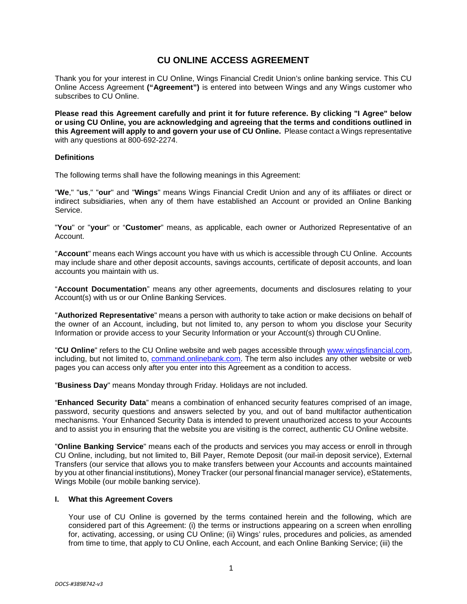# **CU ONLINE ACCESS AGREEMENT**

Thank you for your interest in CU Online, Wings Financial Credit Union's online banking service. This CU Online Access Agreement **("Agreement")** is entered into between Wings and any Wings customer who subscribes to CU Online.

**Please read this Agreement carefully and print it for future reference. By clicking "I Agree" below or using CU Online, you are acknowledging and agreeing that the terms and conditions outlined in this Agreement will apply to and govern your use of CU Online.** Please contact a Wings representative with any questions at 800-692-2274.

## **Definitions**

The following terms shall have the following meanings in this Agreement:

"**We**," "**us**," "**our**" and "**Wings**" means Wings Financial Credit Union and any of its affiliates or direct or indirect subsidiaries, when any of them have established an Account or provided an Online Banking Service.

"**You**" or "**your**" or "**Customer**" means, as applicable, each owner or Authorized Representative of an Account.

"**Account**" means each Wings account you have with us which is accessible through CU Online. Accounts may include share and other deposit accounts, savings accounts, certificate of deposit accounts, and loan accounts you maintain with us.

"**Account Documentation**" means any other agreements, documents and disclosures relating to your Account(s) with us or our Online Banking Services.

"**Authorized Representative**" means a person with authority to take action or make decisions on behalf of the owner of an Account, including, but not limited to, any person to whom you disclose your Security Information or provide access to your Security Information or your Account(s) through CU Online.

"**CU Online**" refers to the CU Online website and web pages accessible through [www.wingsfinancial.com,](http://www.wingsfinancial.com/) including, but not limited to, [command.onlinebank.com. T](http://www.command.onlinebank.com/)he term also includes any other website or web pages you can access only after you enter into this Agreement as a condition to access.

"**Business Day**" means Monday through Friday. Holidays are not included.

"**Enhanced Security Data**" means a combination of enhanced security features comprised of an image, password, security questions and answers selected by you, and out of band multifactor authentication mechanisms. Your Enhanced Security Data is intended to prevent unauthorized access to your Accounts and to assist you in ensuring that the website you are visiting is the correct, authentic CU Online website.

"**Online Banking Service**" means each of the products and services you may access or enroll in through CU Online, including, but not limited to, Bill Payer, Remote Deposit (our mail-in deposit service), External Transfers (our service that allows you to make transfers between your Accounts and accounts maintained by you at other financial institutions), Money Tracker (our personal financial manager service), eStatements, Wings Mobile (our mobile banking service).

## **I. What this Agreement Covers**

Your use of CU Online is governed by the terms contained herein and the following, which are considered part of this Agreement: (i) the terms or instructions appearing on a screen when enrolling for, activating, accessing, or using CU Online; (ii) Wings' rules, procedures and policies, as amended from time to time, that apply to CU Online, each Account, and each Online Banking Service; (iii) the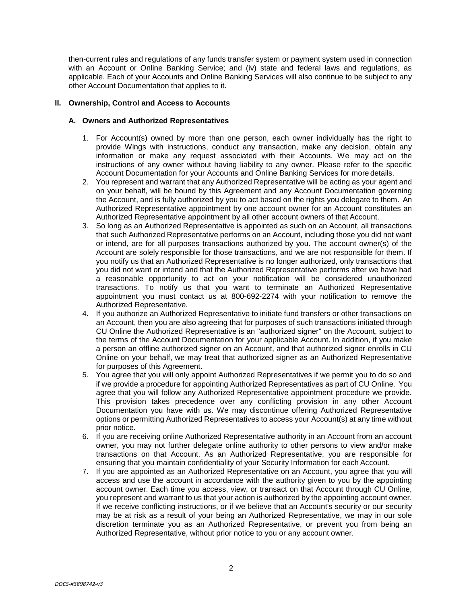then-current rules and regulations of any funds transfer system or payment system used in connection with an Account or Online Banking Service; and (iv) state and federal laws and regulations, as applicable. Each of your Accounts and Online Banking Services will also continue to be subject to any other Account Documentation that applies to it.

## **II. Ownership, Control and Access to Accounts**

## **A. Owners and Authorized Representatives**

- 1. For Account(s) owned by more than one person, each owner individually has the right to provide Wings with instructions, conduct any transaction, make any decision, obtain any information or make any request associated with their Accounts. We may act on the instructions of any owner without having liability to any owner. Please refer to the specific Account Documentation for your Accounts and Online Banking Services for more details.
- 2. You represent and warrant that any Authorized Representative will be acting as your agent and on your behalf, will be bound by this Agreement and any Account Documentation governing the Account, and is fully authorized by you to act based on the rights you delegate to them. An Authorized Representative appointment by one account owner for an Account constitutes an Authorized Representative appointment by all other account owners of that Account.
- 3. So long as an Authorized Representative is appointed as such on an Account, all transactions that such Authorized Representative performs on an Account, including those you did not want or intend, are for all purposes transactions authorized by you. The account owner(s) of the Account are solely responsible for those transactions, and we are not responsible for them. If you notify us that an Authorized Representative is no longer authorized, only transactions that you did not want or intend and that the Authorized Representative performs after we have had a reasonable opportunity to act on your notification will be considered unauthorized transactions. To notify us that you want to terminate an Authorized Representative appointment you must contact us at 800-692-2274 with your notification to remove the Authorized Representative.
- 4. If you authorize an Authorized Representative to initiate fund transfers or other transactions on an Account, then you are also agreeing that for purposes of such transactions initiated through CU Online the Authorized Representative is an "authorized signer" on the Account, subject to the terms of the Account Documentation for your applicable Account. In addition, if you make a person an offline authorized signer on an Account, and that authorized signer enrolls in CU Online on your behalf, we may treat that authorized signer as an Authorized Representative for purposes of this Agreement.
- 5. You agree that you will only appoint Authorized Representatives if we permit you to do so and if we provide a procedure for appointing Authorized Representatives as part of CU Online. You agree that you will follow any Authorized Representative appointment procedure we provide. This provision takes precedence over any conflicting provision in any other Account Documentation you have with us. We may discontinue offering Authorized Representative options or permitting Authorized Representatives to access your Account(s) at any time without prior notice.
- 6. If you are receiving online Authorized Representative authority in an Account from an account owner, you may not further delegate online authority to other persons to view and/or make transactions on that Account. As an Authorized Representative, you are responsible for ensuring that you maintain confidentiality of your Security Information for each Account.
- 7. If you are appointed as an Authorized Representative on an Account, you agree that you will access and use the account in accordance with the authority given to you by the appointing account owner. Each time you access, view, or transact on that Account through CU Online, you represent and warrant to us that your action is authorized by the appointing account owner. If we receive conflicting instructions, or if we believe that an Account's security or our security may be at risk as a result of your being an Authorized Representative, we may in our sole discretion terminate you as an Authorized Representative, or prevent you from being an Authorized Representative, without prior notice to you or any account owner.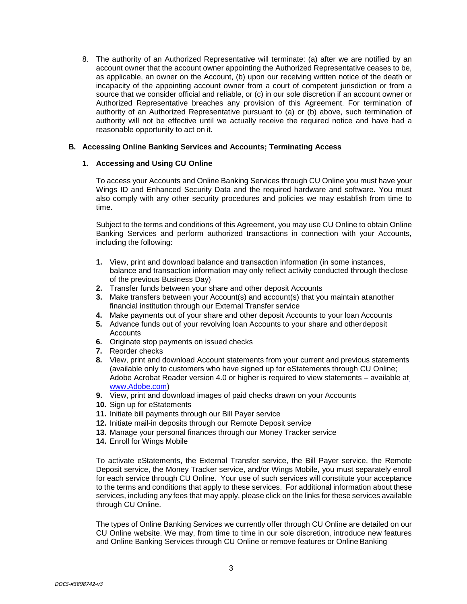8. The authority of an Authorized Representative will terminate: (a) after we are notified by an account owner that the account owner appointing the Authorized Representative ceases to be, as applicable, an owner on the Account, (b) upon our receiving written notice of the death or incapacity of the appointing account owner from a court of competent jurisdiction or from a source that we consider official and reliable, or (c) in our sole discretion if an account owner or Authorized Representative breaches any provision of this Agreement. For termination of authority of an Authorized Representative pursuant to (a) or (b) above, such termination of authority will not be effective until we actually receive the required notice and have had a reasonable opportunity to act on it.

## **B. Accessing Online Banking Services and Accounts; Terminating Access**

## **1. Accessing and Using CU Online**

To access your Accounts and Online Banking Services through CU Online you must have your Wings ID and Enhanced Security Data and the required hardware and software. You must also comply with any other security procedures and policies we may establish from time to time.

Subject to the terms and conditions of this Agreement, you may use CU Online to obtain Online Banking Services and perform authorized transactions in connection with your Accounts, including the following:

- **1.** View, print and download balance and transaction information (in some instances, balance and transaction information may only reflect activity conducted through theclose of the previous Business Day)
- **2.** Transfer funds between your share and other deposit Accounts
- **3.** Make transfers between your Account(s) and account(s) that you maintain atanother financial institution through our External Transfer service
- **4.** Make payments out of your share and other deposit Accounts to your loan Accounts
- **5.** Advance funds out of your revolving loan Accounts to your share and otherdeposit **Accounts**
- **6.** Originate stop payments on issued checks
- **7.** Reorder checks
- **8.** View, print and download Account statements from your current and previous statements (available only to customers who have signed up for eStatements through CU Online; Adobe Acrobat Reader version 4.0 or higher is required to view statements – available a[t](http://www.adobe.com/) [www.Adobe.com\)](http://www.adobe.com/)
- **9.** View, print and download images of paid checks drawn on your Accounts
- **10.** Sign up for eStatements
- **11.** Initiate bill payments through our Bill Payer service
- **12.** Initiate mail-in deposits through our Remote Deposit service
- **13.** Manage your personal finances through our Money Tracker service
- **14.** Enroll for Wings Mobile

To activate eStatements, the External Transfer service, the Bill Payer service, the Remote Deposit service, the Money Tracker service, and/or Wings Mobile, you must separately enroll for each service through CU Online. Your use of such services will constitute your acceptance to the terms and conditions that apply to these services. For additional information about these services, including any fees that may apply, please click on the links for these services available through CU Online.

The types of Online Banking Services we currently offer through CU Online are detailed on our CU Online website. We may, from time to time in our sole discretion, introduce new features and Online Banking Services through CU Online or remove features or Online Banking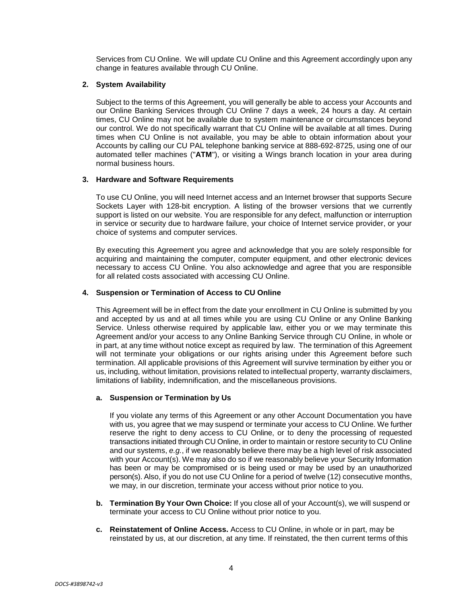Services from CU Online. We will update CU Online and this Agreement accordingly upon any change in features available through CU Online.

## **2. System Availability**

Subject to the terms of this Agreement, you will generally be able to access your Accounts and our Online Banking Services through CU Online 7 days a week, 24 hours a day. At certain times, CU Online may not be available due to system maintenance or circumstances beyond our control. We do not specifically warrant that CU Online will be available at all times. During times when CU Online is not available, you may be able to obtain information about your Accounts by calling our CU PAL telephone banking service at 888-692-8725, using one of our automated teller machines ("**ATM**"), or visiting a Wings branch location in your area during normal business hours.

## **3. Hardware and Software Requirements**

To use CU Online, you will need Internet access and an Internet browser that supports Secure Sockets Layer with 128-bit encryption. A listing of the browser versions that we currently support is listed on our website. You are responsible for any defect, malfunction or interruption in service or security due to hardware failure, your choice of Internet service provider, or your choice of systems and computer services.

By executing this Agreement you agree and acknowledge that you are solely responsible for acquiring and maintaining the computer, computer equipment, and other electronic devices necessary to access CU Online. You also acknowledge and agree that you are responsible for all related costs associated with accessing CU Online.

## **4. Suspension or Termination of Access to CU Online**

This Agreement will be in effect from the date your enrollment in CU Online is submitted by you and accepted by us and at all times while you are using CU Online or any Online Banking Service. Unless otherwise required by applicable law, either you or we may terminate this Agreement and/or your access to any Online Banking Service through CU Online, in whole or in part, at any time without notice except as required by law. The termination of this Agreement will not terminate your obligations or our rights arising under this Agreement before such termination. All applicable provisions of this Agreement will survive termination by either you or us, including, without limitation, provisions related to intellectual property, warranty disclaimers, limitations of liability, indemnification, and the miscellaneous provisions.

## **a. Suspension or Termination by Us**

If you violate any terms of this Agreement or any other Account Documentation you have with us, you agree that we may suspend or terminate your access to CU Online. We further reserve the right to deny access to CU Online, or to deny the processing of requested transactions initiated through CU Online, in order to maintain or restore security to CU Online and our systems, *e.g.*, if we reasonably believe there may be a high level of risk associated with your Account(s). We may also do so if we reasonably believe your Security Information has been or may be compromised or is being used or may be used by an unauthorized person(s). Also, if you do not use CU Online for a period of twelve (12) consecutive months, we may, in our discretion, terminate your access without prior notice to you.

- **b. Termination By Your Own Choice:** If you close all of your Account(s), we will suspend or terminate your access to CU Online without prior notice to you.
- **c. Reinstatement of Online Access.** Access to CU Online, in whole or in part, may be reinstated by us, at our discretion, at any time. If reinstated, the then current terms of this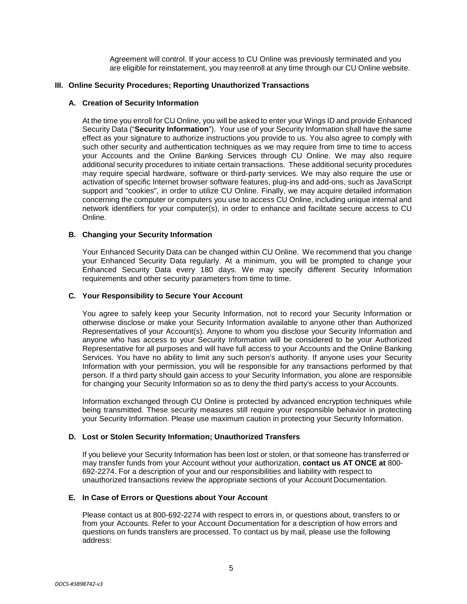Agreement will control. If your access to CU Online was previously terminated and you are eligible for reinstatement, you may reenroll at any time through our CU Online website.

## **III. Online Security Procedures; Reporting Unauthorized Transactions**

## **A. Creation of Security Information**

At the time you enroll for CU Online, you will be asked to enter your Wings ID and provide Enhanced Security Data ("**Security Information**"). Your use of your Security Information shall have the same effect as your signature to authorize instructions you provide to us. You also agree to comply with such other security and authentication techniques as we may require from time to time to access your Accounts and the Online Banking Services through CU Online. We may also require additional security procedures to initiate certain transactions. These additional security procedures may require special hardware, software or third-party services. We may also require the use or activation of specific Internet browser software features, plug-ins and add-ons, such as JavaScript support and "cookies", in order to utilize CU Online. Finally, we may acquire detailed information concerning the computer or computers you use to access CU Online, including unique internal and network identifiers for your computer(s), in order to enhance and facilitate secure access to CU Online.

## **B. Changing your Security Information**

Your Enhanced Security Data can be changed within CU Online. We recommend that you change your Enhanced Security Data regularly. At a minimum, you will be prompted to change your Enhanced Security Data every 180 days. We may specify different Security Information requirements and other security parameters from time to time.

## **C. Your Responsibility to Secure Your Account**

You agree to safely keep your Security Information, not to record your Security Information or otherwise disclose or make your Security Information available to anyone other than Authorized Representatives of your Account(s). Anyone to whom you disclose your Security Information and anyone who has access to your Security Information will be considered to be your Authorized Representative for all purposes and will have full access to your Accounts and the Online Banking Services. You have no ability to limit any such person's authority. If anyone uses your Security Information with your permission, you will be responsible for any transactions performed by that person. If a third party should gain access to your Security Information, you alone are responsible for changing your Security Information so as to deny the third party's access to your Accounts.

Information exchanged through CU Online is protected by advanced encryption techniques while being transmitted. These security measures still require your responsible behavior in protecting your Security Information. Please use maximum caution in protecting your Security Information.

## **D. Lost or Stolen Security Information; Unauthorized Transfers**

If you believe your Security Information has been lost or stolen, or that someone has transferred or may transfer funds from your Account without your authorization, **contact us AT ONCE at** 800- 692-2274. For a description of your and our responsibilities and liability with respect to unauthorized transactions review the appropriate sections of your Account Documentation.

## **E. In Case of Errors or Questions about Your Account**

Please contact us at 800-692-2274 with respect to errors in, or questions about, transfers to or from your Accounts. Refer to your Account Documentation for a description of how errors and questions on funds transfers are processed. To contact us by mail, please use the following address: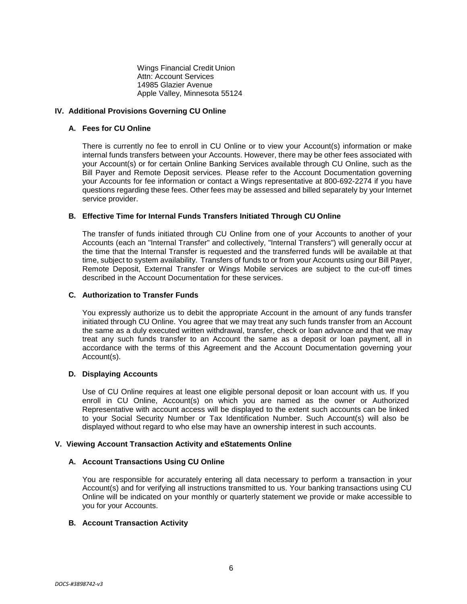Wings Financial Credit Union Attn: Account Services 14985 Glazier Avenue Apple Valley, Minnesota 55124

## **IV. Additional Provisions Governing CU Online**

## **A. Fees for CU Online**

There is currently no fee to enroll in CU Online or to view your Account(s) information or make internal funds transfers between your Accounts. However, there may be other fees associated with your Account(s) or for certain Online Banking Services available through CU Online, such as the Bill Payer and Remote Deposit services. Please refer to the Account Documentation governing your Accounts for fee information or contact a Wings representative at 800-692-2274 if you have questions regarding these fees. Other fees may be assessed and billed separately by your Internet service provider.

## **B. Effective Time for Internal Funds Transfers Initiated Through CU Online**

The transfer of funds initiated through CU Online from one of your Accounts to another of your Accounts (each an "Internal Transfer" and collectively, "Internal Transfers") will generally occur at the time that the Internal Transfer is requested and the transferred funds will be available at that time, subject to system availability. Transfers of funds to or from your Accounts using our Bill Payer, Remote Deposit, External Transfer or Wings Mobile services are subject to the cut-off times described in the Account Documentation for these services.

## **C. Authorization to Transfer Funds**

You expressly authorize us to debit the appropriate Account in the amount of any funds transfer initiated through CU Online. You agree that we may treat any such funds transfer from an Account the same as a duly executed written withdrawal, transfer, check or loan advance and that we may treat any such funds transfer to an Account the same as a deposit or loan payment, all in accordance with the terms of this Agreement and the Account Documentation governing your Account(s).

## **D. Displaying Accounts**

Use of CU Online requires at least one eligible personal deposit or loan account with us. If you enroll in CU Online, Account(s) on which you are named as the owner or Authorized Representative with account access will be displayed to the extent such accounts can be linked to your Social Security Number or Tax Identification Number. Such Account(s) will also be displayed without regard to who else may have an ownership interest in such accounts.

## **V. Viewing Account Transaction Activity and eStatements Online**

## **A. Account Transactions Using CU Online**

You are responsible for accurately entering all data necessary to perform a transaction in your Account(s) and for verifying all instructions transmitted to us. Your banking transactions using CU Online will be indicated on your monthly or quarterly statement we provide or make accessible to you for your Accounts.

## **B. Account Transaction Activity**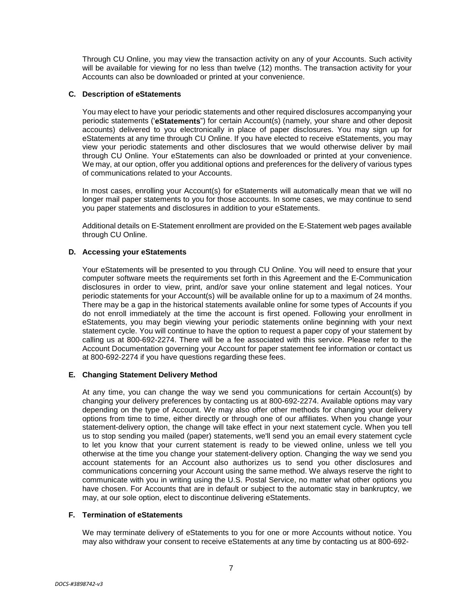Through CU Online, you may view the transaction activity on any of your Accounts. Such activity will be available for viewing for no less than twelve (12) months. The transaction activity for your Accounts can also be downloaded or printed at your convenience.

## **C. Description of eStatements**

You may elect to have your periodic statements and other required disclosures accompanying your periodic statements ('**eStatements**") for certain Account(s) (namely, your share and other deposit accounts) delivered to you electronically in place of paper disclosures. You may sign up for eStatements at any time through CU Online. If you have elected to receive eStatements, you may view your periodic statements and other disclosures that we would otherwise deliver by mail through CU Online. Your eStatements can also be downloaded or printed at your convenience. We may, at our option, offer you additional options and preferences for the delivery of various types of communications related to your Accounts.

In most cases, enrolling your Account(s) for eStatements will automatically mean that we will no longer mail paper statements to you for those accounts. In some cases, we may continue to send you paper statements and disclosures in addition to your eStatements.

Additional details on E-Statement enrollment are provided on the E-Statement web pages available through CU Online.

## **D. Accessing your eStatements**

Your eStatements will be presented to you through CU Online. You will need to ensure that your computer software meets the requirements set forth in this Agreement and the E-Communication disclosures in order to view, print, and/or save your online statement and legal notices. Your periodic statements for your Account(s) will be available online for up to a maximum of 24 months. There may be a gap in the historical statements available online for some types of Accounts if you do not enroll immediately at the time the account is first opened. Following your enrollment in eStatements, you may begin viewing your periodic statements online beginning with your next statement cycle. You will continue to have the option to request a paper copy of your statement by calling us at 800-692-2274. There will be a fee associated with this service. Please refer to the Account Documentation governing your Account for paper statement fee information or contact us at 800-692-2274 if you have questions regarding these fees.

## **E. Changing Statement Delivery Method**

At any time, you can change the way we send you communications for certain Account(s) by changing your delivery preferences by contacting us at 800-692-2274. Available options may vary depending on the type of Account. We may also offer other methods for changing your delivery options from time to time, either directly or through one of our affiliates. When you change your statement-delivery option, the change will take effect in your next statement cycle. When you tell us to stop sending you mailed (paper) statements, we'll send you an email every statement cycle to let you know that your current statement is ready to be viewed online, unless we tell you otherwise at the time you change your statement-delivery option. Changing the way we send you account statements for an Account also authorizes us to send you other disclosures and communications concerning your Account using the same method. We always reserve the right to communicate with you in writing using the U.S. Postal Service, no matter what other options you have chosen. For Accounts that are in default or subject to the automatic stay in bankruptcy, we may, at our sole option, elect to discontinue delivering eStatements.

## **F. Termination of eStatements**

We may terminate delivery of eStatements to you for one or more Accounts without notice. You may also withdraw your consent to receive eStatements at any time by contacting us at 800-692-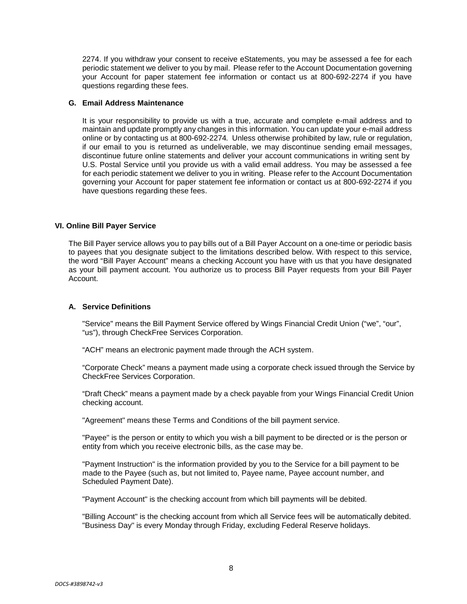2274. If you withdraw your consent to receive eStatements, you may be assessed a fee for each periodic statement we deliver to you by mail. Please refer to the Account Documentation governing your Account for paper statement fee information or contact us at 800-692-2274 if you have questions regarding these fees.

## **G. Email Address Maintenance**

It is your responsibility to provide us with a true, accurate and complete e-mail address and to maintain and update promptly any changes in this information. You can update your e-mail address online or by contacting us at 800-692-2274*.* Unless otherwise prohibited by law, rule or regulation, if our email to you is returned as undeliverable, we may discontinue sending email messages, discontinue future online statements and deliver your account communications in writing sent by U.S. Postal Service until you provide us with a valid email address. You may be assessed a fee for each periodic statement we deliver to you in writing. Please refer to the Account Documentation governing your Account for paper statement fee information or contact us at 800-692-2274 if you have questions regarding these fees.

## **VI. Online Bill Payer Service**

The Bill Payer service allows you to pay bills out of a Bill Payer Account on a one-time or periodic basis to payees that you designate subject to the limitations described below. With respect to this service, the word "Bill Payer Account" means a checking Account you have with us that you have designated as your bill payment account. You authorize us to process Bill Payer requests from your Bill Payer Account.

## **A. Service Definitions**

"Service" means the Bill Payment Service offered by Wings Financial Credit Union ("we", "our", "us"), through CheckFree Services Corporation.

"ACH" means an electronic payment made through the ACH system.

"Corporate Check" means a payment made using a corporate check issued through the Service by CheckFree Services Corporation.

"Draft Check" means a payment made by a check payable from your Wings Financial Credit Union checking account.

"Agreement" means these Terms and Conditions of the bill payment service.

"Payee" is the person or entity to which you wish a bill payment to be directed or is the person or entity from which you receive electronic bills, as the case may be.

"Payment Instruction" is the information provided by you to the Service for a bill payment to be made to the Payee (such as, but not limited to, Payee name, Payee account number, and Scheduled Payment Date).

"Payment Account" is the checking account from which bill payments will be debited.

"Billing Account" is the checking account from which all Service fees will be automatically debited. "Business Day" is every Monday through Friday, excluding Federal Reserve holidays.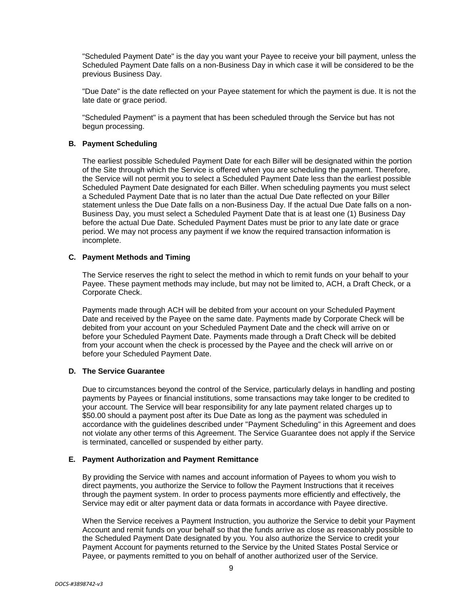"Scheduled Payment Date" is the day you want your Payee to receive your bill payment, unless the Scheduled Payment Date falls on a non-Business Day in which case it will be considered to be the previous Business Day.

"Due Date" is the date reflected on your Payee statement for which the payment is due. It is not the late date or grace period.

"Scheduled Payment" is a payment that has been scheduled through the Service but has not begun processing.

## **B. Payment Scheduling**

The earliest possible Scheduled Payment Date for each Biller will be designated within the portion of the Site through which the Service is offered when you are scheduling the payment. Therefore, the Service will not permit you to select a Scheduled Payment Date less than the earliest possible Scheduled Payment Date designated for each Biller. When scheduling payments you must select a Scheduled Payment Date that is no later than the actual Due Date reflected on your Biller statement unless the Due Date falls on a non-Business Day. If the actual Due Date falls on a non-Business Day, you must select a Scheduled Payment Date that is at least one (1) Business Day before the actual Due Date. Scheduled Payment Dates must be prior to any late date or grace period. We may not process any payment if we know the required transaction information is incomplete.

## **C. Payment Methods and Timing**

The Service reserves the right to select the method in which to remit funds on your behalf to your Payee. These payment methods may include, but may not be limited to, ACH, a Draft Check, or a Corporate Check.

Payments made through ACH will be debited from your account on your Scheduled Payment Date and received by the Payee on the same date. Payments made by Corporate Check will be debited from your account on your Scheduled Payment Date and the check will arrive on or before your Scheduled Payment Date. Payments made through a Draft Check will be debited from your account when the check is processed by the Payee and the check will arrive on or before your Scheduled Payment Date.

## **D. The Service Guarantee**

Due to circumstances beyond the control of the Service, particularly delays in handling and posting payments by Payees or financial institutions, some transactions may take longer to be credited to your account. The Service will bear responsibility for any late payment related charges up to \$50.00 should a payment post after its Due Date as long as the payment was scheduled in accordance with the guidelines described under "Payment Scheduling" in this Agreement and does not violate any other terms of this Agreement. The Service Guarantee does not apply if the Service is terminated, cancelled or suspended by either party.

## **E. Payment Authorization and Payment Remittance**

By providing the Service with names and account information of Payees to whom you wish to direct payments, you authorize the Service to follow the Payment Instructions that it receives through the payment system. In order to process payments more efficiently and effectively, the Service may edit or alter payment data or data formats in accordance with Payee directive.

When the Service receives a Payment Instruction, you authorize the Service to debit your Payment Account and remit funds on your behalf so that the funds arrive as close as reasonably possible to the Scheduled Payment Date designated by you. You also authorize the Service to credit your Payment Account for payments returned to the Service by the United States Postal Service or Payee, or payments remitted to you on behalf of another authorized user of the Service.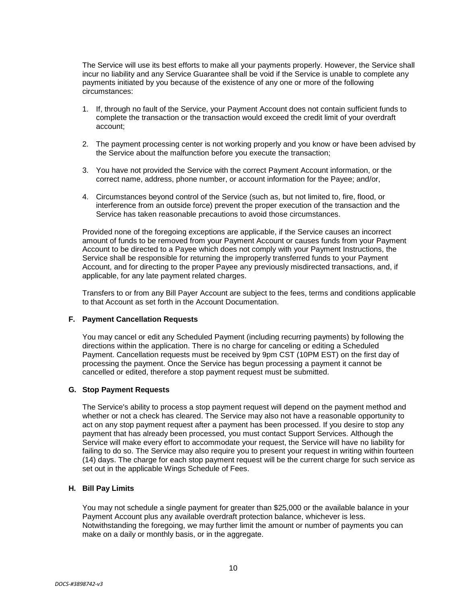The Service will use its best efforts to make all your payments properly. However, the Service shall incur no liability and any Service Guarantee shall be void if the Service is unable to complete any payments initiated by you because of the existence of any one or more of the following circumstances:

- 1. If, through no fault of the Service, your Payment Account does not contain sufficient funds to complete the transaction or the transaction would exceed the credit limit of your overdraft account;
- 2. The payment processing center is not working properly and you know or have been advised by the Service about the malfunction before you execute the transaction;
- 3. You have not provided the Service with the correct Payment Account information, or the correct name, address, phone number, or account information for the Payee; and/or,
- 4. Circumstances beyond control of the Service (such as, but not limited to, fire, flood, or interference from an outside force) prevent the proper execution of the transaction and the Service has taken reasonable precautions to avoid those circumstances.

Provided none of the foregoing exceptions are applicable, if the Service causes an incorrect amount of funds to be removed from your Payment Account or causes funds from your Payment Account to be directed to a Payee which does not comply with your Payment Instructions, the Service shall be responsible for returning the improperly transferred funds to your Payment Account, and for directing to the proper Payee any previously misdirected transactions, and, if applicable, for any late payment related charges.

Transfers to or from any Bill Payer Account are subject to the fees, terms and conditions applicable to that Account as set forth in the Account Documentation.

## **F. Payment Cancellation Requests**

You may cancel or edit any Scheduled Payment (including recurring payments) by following the directions within the application. There is no charge for canceling or editing a Scheduled Payment. Cancellation requests must be received by 9pm CST (10PM EST) on the first day of processing the payment. Once the Service has begun processing a payment it cannot be cancelled or edited, therefore a stop payment request must be submitted.

#### **G. Stop Payment Requests**

The Service's ability to process a stop payment request will depend on the payment method and whether or not a check has cleared. The Service may also not have a reasonable opportunity to act on any stop payment request after a payment has been processed. If you desire to stop any payment that has already been processed, you must contact Support Services. Although the Service will make every effort to accommodate your request, the Service will have no liability for failing to do so. The Service may also require you to present your request in writing within fourteen (14) days. The charge for each stop payment request will be the current charge for such service as set out in the applicable Wings Schedule of Fees.

## **H. Bill Pay Limits**

You may not schedule a single payment for greater than \$25,000 or the available balance in your Payment Account plus any available overdraft protection balance, whichever is less. Notwithstanding the foregoing, we may further limit the amount or number of payments you can make on a daily or monthly basis, or in the aggregate.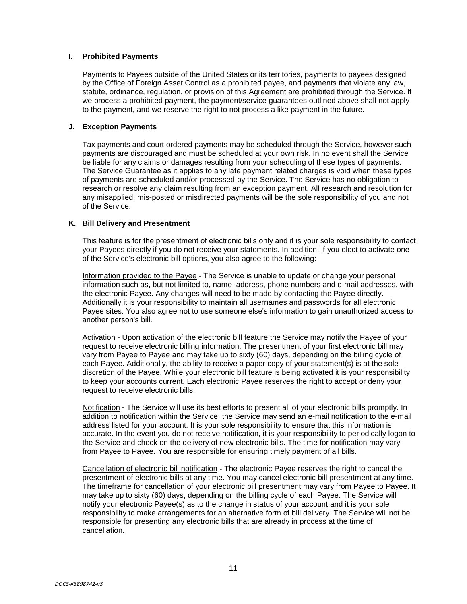## **I. Prohibited Payments**

Payments to Payees outside of the United States or its territories, payments to payees designed by the Office of Foreign Asset Control as a prohibited payee, and payments that violate any law, statute, ordinance, regulation, or provision of this Agreement are prohibited through the Service. If we process a prohibited payment, the payment/service guarantees outlined above shall not apply to the payment, and we reserve the right to not process a like payment in the future.

## **J. Exception Payments**

Tax payments and court ordered payments may be scheduled through the Service, however such payments are discouraged and must be scheduled at your own risk. In no event shall the Service be liable for any claims or damages resulting from your scheduling of these types of payments. The Service Guarantee as it applies to any late payment related charges is void when these types of payments are scheduled and/or processed by the Service. The Service has no obligation to research or resolve any claim resulting from an exception payment. All research and resolution for any misapplied, mis-posted or misdirected payments will be the sole responsibility of you and not of the Service.

## **K. Bill Delivery and Presentment**

This feature is for the presentment of electronic bills only and it is your sole responsibility to contact your Payees directly if you do not receive your statements. In addition, if you elect to activate one of the Service's electronic bill options, you also agree to the following:

Information provided to the Payee - The Service is unable to update or change your personal information such as, but not limited to, name, address, phone numbers and e-mail addresses, with the electronic Payee. Any changes will need to be made by contacting the Payee directly. Additionally it is your responsibility to maintain all usernames and passwords for all electronic Payee sites. You also agree not to use someone else's information to gain unauthorized access to another person's bill.

Activation - Upon activation of the electronic bill feature the Service may notify the Payee of your request to receive electronic billing information. The presentment of your first electronic bill may vary from Payee to Payee and may take up to sixty (60) days, depending on the billing cycle of each Payee. Additionally, the ability to receive a paper copy of your statement(s) is at the sole discretion of the Payee. While your electronic bill feature is being activated it is your responsibility to keep your accounts current. Each electronic Payee reserves the right to accept or deny your request to receive electronic bills.

Notification - The Service will use its best efforts to present all of your electronic bills promptly. In addition to notification within the Service, the Service may send an e-mail notification to the e-mail address listed for your account. It is your sole responsibility to ensure that this information is accurate. In the event you do not receive notification, it is your responsibility to periodically logon to the Service and check on the delivery of new electronic bills. The time for notification may vary from Payee to Payee. You are responsible for ensuring timely payment of all bills.

Cancellation of electronic bill notification - The electronic Payee reserves the right to cancel the presentment of electronic bills at any time. You may cancel electronic bill presentment at any time. The timeframe for cancellation of your electronic bill presentment may vary from Payee to Payee. It may take up to sixty (60) days, depending on the billing cycle of each Payee. The Service will notify your electronic Payee(s) as to the change in status of your account and it is your sole responsibility to make arrangements for an alternative form of bill delivery. The Service will not be responsible for presenting any electronic bills that are already in process at the time of cancellation.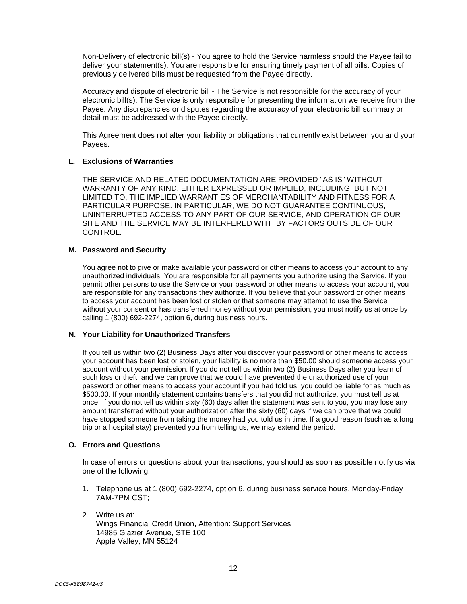Non-Delivery of electronic bill(s) - You agree to hold the Service harmless should the Pavee fail to deliver your statement(s). You are responsible for ensuring timely payment of all bills. Copies of previously delivered bills must be requested from the Payee directly.

Accuracy and dispute of electronic bill - The Service is not responsible for the accuracy of your electronic bill(s). The Service is only responsible for presenting the information we receive from the Payee. Any discrepancies or disputes regarding the accuracy of your electronic bill summary or detail must be addressed with the Payee directly.

This Agreement does not alter your liability or obligations that currently exist between you and your Payees.

## **L. Exclusions of Warranties**

THE SERVICE AND RELATED DOCUMENTATION ARE PROVIDED "AS IS" WITHOUT WARRANTY OF ANY KIND, EITHER EXPRESSED OR IMPLIED, INCLUDING, BUT NOT LIMITED TO, THE IMPLIED WARRANTIES OF MERCHANTABILITY AND FITNESS FOR A PARTICULAR PURPOSE. IN PARTICULAR, WE DO NOT GUARANTEE CONTINUOUS, UNINTERRUPTED ACCESS TO ANY PART OF OUR SERVICE, AND OPERATION OF OUR SITE AND THE SERVICE MAY BE INTERFERED WITH BY FACTORS OUTSIDE OF OUR CONTROL.

## **M. Password and Security**

You agree not to give or make available your password or other means to access your account to any unauthorized individuals. You are responsible for all payments you authorize using the Service. If you permit other persons to use the Service or your password or other means to access your account, you are responsible for any transactions they authorize. If you believe that your password or other means to access your account has been lost or stolen or that someone may attempt to use the Service without your consent or has transferred money without your permission, you must notify us at once by calling 1 (800) 692-2274, option 6, during business hours.

## **N. Your Liability for Unauthorized Transfers**

If you tell us within two (2) Business Days after you discover your password or other means to access your account has been lost or stolen, your liability is no more than \$50.00 should someone access your account without your permission. If you do not tell us within two (2) Business Days after you learn of such loss or theft, and we can prove that we could have prevented the unauthorized use of your password or other means to access your account if you had told us, you could be liable for as much as \$500.00. If your monthly statement contains transfers that you did not authorize, you must tell us at once. If you do not tell us within sixty (60) days after the statement was sent to you, you may lose any amount transferred without your authorization after the sixty (60) days if we can prove that we could have stopped someone from taking the money had you told us in time. If a good reason (such as a long trip or a hospital stay) prevented you from telling us, we may extend the period.

## **O. Errors and Questions**

In case of errors or questions about your transactions, you should as soon as possible notify us via one of the following:

- 1. Telephone us at 1 (800) 692-2274, option 6, during business service hours, Monday-Friday 7AM-7PM CST;
- 2. Write us at: Wings Financial Credit Union, Attention: Support Services 14985 Glazier Avenue, STE 100 Apple Valley, MN 55124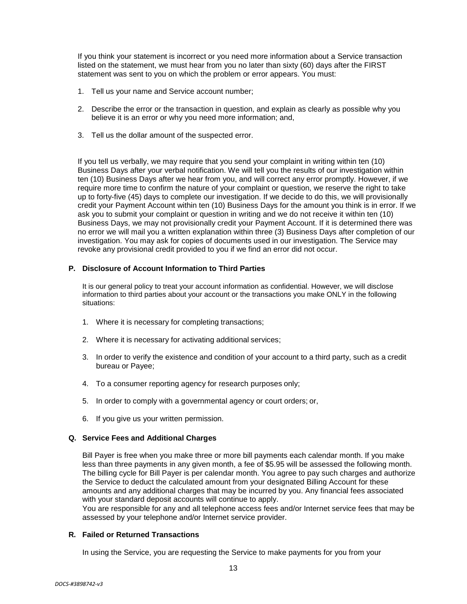If you think your statement is incorrect or you need more information about a Service transaction listed on the statement, we must hear from you no later than sixty (60) days after the FIRST statement was sent to you on which the problem or error appears. You must:

- 1. Tell us your name and Service account number;
- 2. Describe the error or the transaction in question, and explain as clearly as possible why you believe it is an error or why you need more information; and,
- 3. Tell us the dollar amount of the suspected error.

If you tell us verbally, we may require that you send your complaint in writing within ten (10) Business Days after your verbal notification. We will tell you the results of our investigation within ten (10) Business Days after we hear from you, and will correct any error promptly. However, if we require more time to confirm the nature of your complaint or question, we reserve the right to take up to forty-five (45) days to complete our investigation. If we decide to do this, we will provisionally credit your Payment Account within ten (10) Business Days for the amount you think is in error. If we ask you to submit your complaint or question in writing and we do not receive it within ten (10) Business Days, we may not provisionally credit your Payment Account. If it is determined there was no error we will mail you a written explanation within three (3) Business Days after completion of our investigation. You may ask for copies of documents used in our investigation. The Service may revoke any provisional credit provided to you if we find an error did not occur.

## **P. Disclosure of Account Information to Third Parties**

It is our general policy to treat your account information as confidential. However, we will disclose information to third parties about your account or the transactions you make ONLY in the following situations:

- 1. Where it is necessary for completing transactions;
- 2. Where it is necessary for activating additional services;
- 3. In order to verify the existence and condition of your account to a third party, such as a credit bureau or Payee;
- 4. To a consumer reporting agency for research purposes only;
- 5. In order to comply with a governmental agency or court orders; or,
- 6. If you give us your written permission.

## **Q. Service Fees and Additional Charges**

Bill Payer is free when you make three or more bill payments each calendar month. If you make less than three payments in any given month, a fee of \$5.95 will be assessed the following month. The billing cycle for Bill Payer is per calendar month. You agree to pay such charges and authorize the Service to deduct the calculated amount from your designated Billing Account for these amounts and any additional charges that may be incurred by you. Any financial fees associated with your standard deposit accounts will continue to apply.

You are responsible for any and all telephone access fees and/or Internet service fees that may be assessed by your telephone and/or Internet service provider.

## **R. Failed or Returned Transactions**

In using the Service, you are requesting the Service to make payments for you from your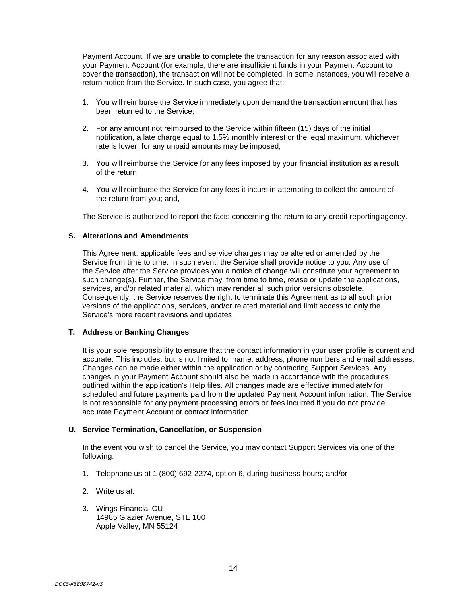Payment Account. If we are unable to complete the transaction for any reason associated with your Payment Account (for example, there are insufficient funds in your Payment Account to cover the transaction), the transaction will not be completed. In some instances, you will receive a return notice from the Service. In such case, you agree that:

- 1. You will reimburse the Service immediately upon demand the transaction amount that has been returned to the Service;
- 2. For any amount not reimbursed to the Service within fifteen (15) days of the initial notification, a late charge equal to 1.5% monthly interest or the legal maximum, whichever rate is lower, for any unpaid amounts may be imposed;
- 3. You will reimburse the Service for any fees imposed by your financial institution as a result of the return;
- 4. You will reimburse the Service for any fees it incurs in attempting to collect the amount of the return from you; and,

The Service is authorized to report the facts concerning the return to any credit reportingagency.

#### **S. Alterations and Amendments**

This Agreement, applicable fees and service charges may be altered or amended by the Service from time to time. In such event, the Service shall provide notice to you. Any use of the Service after the Service provides you a notice of change will constitute your agreement to such change(s). Further, the Service may, from time to time, revise or update the applications, services, and/or related material, which may render all such prior versions obsolete. Consequently, the Service reserves the right to terminate this Agreement as to all such prior versions of the applications, services, and/or related material and limit access to only the Service's more recent revisions and updates.

## **T. Address or Banking Changes**

It is your sole responsibility to ensure that the contact information in your user profile is current and accurate. This includes, but is not limited to, name, address, phone numbers and email addresses. Changes can be made either within the application or by contacting Support Services. Any changes in your Payment Account should also be made in accordance with the procedures outlined within the application's Help files. All changes made are effective immediately for scheduled and future payments paid from the updated Payment Account information. The Service is not responsible for any payment processing errors or fees incurred if you do not provide accurate Payment Account or contact information.

#### **U. Service Termination, Cancellation, or Suspension**

In the event you wish to cancel the Service, you may contact Support Services via one of the following:

- 1. Telephone us at 1 (800) 692-2274, option 6, during business hours; and/or
- 2. Write us at:
- 3. Wings Financial CU 14985 Glazier Avenue, STE 100 Apple Valley, MN 55124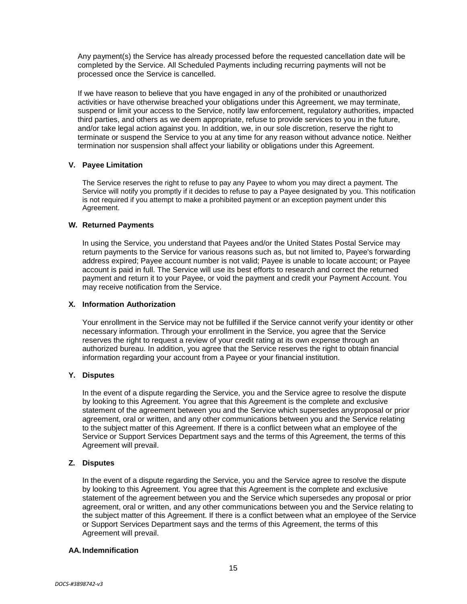Any payment(s) the Service has already processed before the requested cancellation date will be completed by the Service. All Scheduled Payments including recurring payments will not be processed once the Service is cancelled.

If we have reason to believe that you have engaged in any of the prohibited or unauthorized activities or have otherwise breached your obligations under this Agreement, we may terminate, suspend or limit your access to the Service, notify law enforcement, regulatory authorities, impacted third parties, and others as we deem appropriate, refuse to provide services to you in the future, and/or take legal action against you. In addition, we, in our sole discretion, reserve the right to terminate or suspend the Service to you at any time for any reason without advance notice. Neither termination nor suspension shall affect your liability or obligations under this Agreement.

## **V. Payee Limitation**

The Service reserves the right to refuse to pay any Payee to whom you may direct a payment. The Service will notify you promptly if it decides to refuse to pay a Payee designated by you. This notification is not required if you attempt to make a prohibited payment or an exception payment under this Agreement.

## **W. Returned Payments**

In using the Service, you understand that Payees and/or the United States Postal Service may return payments to the Service for various reasons such as, but not limited to, Payee's forwarding address expired; Payee account number is not valid; Payee is unable to locate account; or Payee account is paid in full. The Service will use its best efforts to research and correct the returned payment and return it to your Payee, or void the payment and credit your Payment Account. You may receive notification from the Service.

## **X. Information Authorization**

Your enrollment in the Service may not be fulfilled if the Service cannot verify your identity or other necessary information. Through your enrollment in the Service, you agree that the Service reserves the right to request a review of your credit rating at its own expense through an authorized bureau. In addition, you agree that the Service reserves the right to obtain financial information regarding your account from a Payee or your financial institution.

## **Y. Disputes**

In the event of a dispute regarding the Service, you and the Service agree to resolve the dispute by looking to this Agreement. You agree that this Agreement is the complete and exclusive statement of the agreement between you and the Service which supersedes anyproposal or prior agreement, oral or written, and any other communications between you and the Service relating to the subject matter of this Agreement. If there is a conflict between what an employee of the Service or Support Services Department says and the terms of this Agreement, the terms of this Agreement will prevail.

## **Z. Disputes**

In the event of a dispute regarding the Service, you and the Service agree to resolve the dispute by looking to this Agreement. You agree that this Agreement is the complete and exclusive statement of the agreement between you and the Service which supersedes any proposal or prior agreement, oral or written, and any other communications between you and the Service relating to the subject matter of this Agreement. If there is a conflict between what an employee of the Service or Support Services Department says and the terms of this Agreement, the terms of this Agreement will prevail.

## **AA. Indemnification**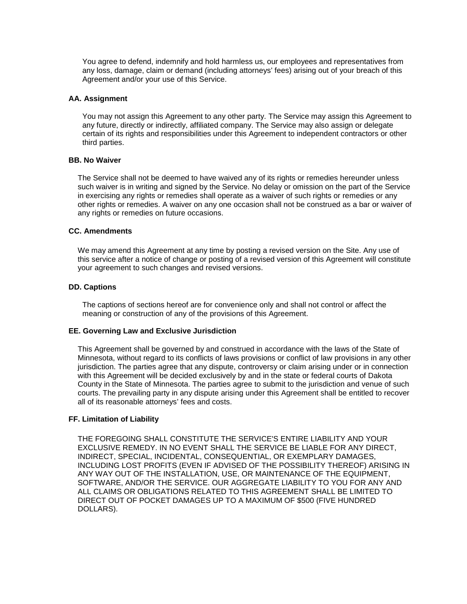You agree to defend, indemnify and hold harmless us, our employees and representatives from any loss, damage, claim or demand (including attorneys' fees) arising out of your breach of this Agreement and/or your use of this Service.

#### **AA. Assignment**

You may not assign this Agreement to any other party. The Service may assign this Agreement to any future, directly or indirectly, affiliated company. The Service may also assign or delegate certain of its rights and responsibilities under this Agreement to independent contractors or other third parties.

### **BB. No Waiver**

The Service shall not be deemed to have waived any of its rights or remedies hereunder unless such waiver is in writing and signed by the Service. No delay or omission on the part of the Service in exercising any rights or remedies shall operate as a waiver of such rights or remedies or any other rights or remedies. A waiver on any one occasion shall not be construed as a bar or waiver of any rights or remedies on future occasions.

#### **CC. Amendments**

We may amend this Agreement at any time by posting a revised version on the Site. Any use of this service after a notice of change or posting of a revised version of this Agreement will constitute your agreement to such changes and revised versions.

#### **DD. Captions**

The captions of sections hereof are for convenience only and shall not control or affect the meaning or construction of any of the provisions of this Agreement.

#### **EE. Governing Law and Exclusive Jurisdiction**

This Agreement shall be governed by and construed in accordance with the laws of the State of Minnesota, without regard to its conflicts of laws provisions or conflict of law provisions in any other jurisdiction. The parties agree that any dispute, controversy or claim arising under or in connection with this Agreement will be decided exclusively by and in the state or federal courts of Dakota County in the State of Minnesota. The parties agree to submit to the jurisdiction and venue of such courts. The prevailing party in any dispute arising under this Agreement shall be entitled to recover all of its reasonable attorneys' fees and costs.

#### **FF. Limitation of Liability**

THE FOREGOING SHALL CONSTITUTE THE SERVICE'S ENTIRE LIABILITY AND YOUR EXCLUSIVE REMEDY. IN NO EVENT SHALL THE SERVICE BE LIABLE FOR ANY DIRECT, INDIRECT, SPECIAL, INCIDENTAL, CONSEQUENTIAL, OR EXEMPLARY DAMAGES, INCLUDING LOST PROFITS (EVEN IF ADVISED OF THE POSSIBILITY THEREOF) ARISING IN ANY WAY OUT OF THE INSTALLATION, USE, OR MAINTENANCE OF THE EQUIPMENT, SOFTWARE, AND/OR THE SERVICE. OUR AGGREGATE LIABILITY TO YOU FOR ANY AND ALL CLAIMS OR OBLIGATIONS RELATED TO THIS AGREEMENT SHALL BE LIMITED TO DIRECT OUT OF POCKET DAMAGES UP TO A MAXIMUM OF \$500 (FIVE HUNDRED DOLLARS).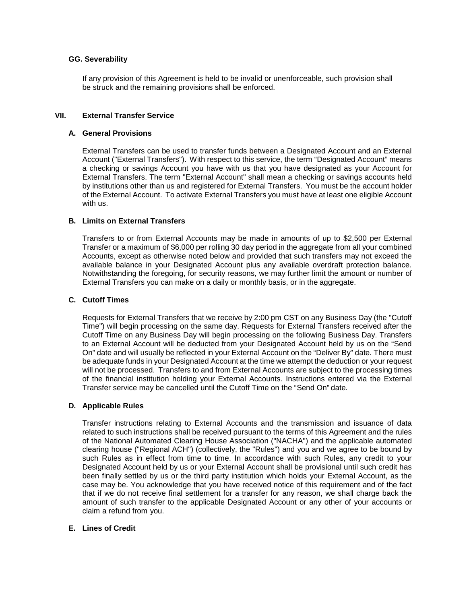## **GG. Severability**

If any provision of this Agreement is held to be invalid or unenforceable, such provision shall be struck and the remaining provisions shall be enforced.

## **VII. External Transfer Service**

## **A. General Provisions**

External Transfers can be used to transfer funds between a Designated Account and an External Account ("External Transfers"). With respect to this service, the term "Designated Account" means a checking or savings Account you have with us that you have designated as your Account for External Transfers. The term "External Account" shall mean a checking or savings accounts held by institutions other than us and registered for External Transfers. You must be the account holder of the External Account. To activate External Transfers you must have at least one eligible Account with us.

## **B. Limits on External Transfers**

Transfers to or from External Accounts may be made in amounts of up to \$2,500 per External Transfer or a maximum of \$6,000 per rolling 30 day period in the aggregate from all your combined Accounts, except as otherwise noted below and provided that such transfers may not exceed the available balance in your Designated Account plus any available overdraft protection balance. Notwithstanding the foregoing, for security reasons, we may further limit the amount or number of External Transfers you can make on a daily or monthly basis, or in the aggregate.

## **C. Cutoff Times**

Requests for External Transfers that we receive by 2:00 pm CST on any Business Day (the "Cutoff Time") will begin processing on the same day. Requests for External Transfers received after the Cutoff Time on any Business Day will begin processing on the following Business Day. Transfers to an External Account will be deducted from your Designated Account held by us on the "Send On" date and will usually be reflected in your External Account on the "Deliver By" date. There must be adequate funds in your Designated Account at the time we attempt the deduction or your request will not be processed. Transfers to and from External Accounts are subject to the processing times of the financial institution holding your External Accounts. Instructions entered via the External Transfer service may be cancelled until the Cutoff Time on the "Send On" date.

## **D. Applicable Rules**

Transfer instructions relating to External Accounts and the transmission and issuance of data related to such instructions shall be received pursuant to the terms of this Agreement and the rules of the National Automated Clearing House Association ("NACHA") and the applicable automated clearing house ("Regional ACH") (collectively, the "Rules") and you and we agree to be bound by such Rules as in effect from time to time. In accordance with such Rules, any credit to your Designated Account held by us or your External Account shall be provisional until such credit has been finally settled by us or the third party institution which holds your External Account, as the case may be. You acknowledge that you have received notice of this requirement and of the fact that if we do not receive final settlement for a transfer for any reason, we shall charge back the amount of such transfer to the applicable Designated Account or any other of your accounts or claim a refund from you.

## **E. Lines of Credit**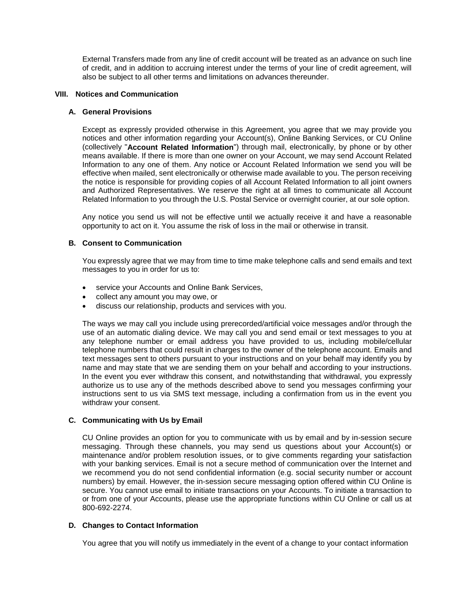External Transfers made from any line of credit account will be treated as an advance on such line of credit, and in addition to accruing interest under the terms of your line of credit agreement, will also be subject to all other terms and limitations on advances thereunder.

### **VIII. Notices and Communication**

### **A. General Provisions**

Except as expressly provided otherwise in this Agreement, you agree that we may provide you notices and other information regarding your Account(s), Online Banking Services, or CU Online (collectively "**Account Related Information**") through mail, electronically, by phone or by other means available. If there is more than one owner on your Account, we may send Account Related Information to any one of them. Any notice or Account Related Information we send you will be effective when mailed, sent electronically or otherwise made available to you. The person receiving the notice is responsible for providing copies of all Account Related Information to all joint owners and Authorized Representatives. We reserve the right at all times to communicate all Account Related Information to you through the U.S. Postal Service or overnight courier, at our sole option.

Any notice you send us will not be effective until we actually receive it and have a reasonable opportunity to act on it. You assume the risk of loss in the mail or otherwise in transit.

## **B. Consent to Communication**

You expressly agree that we may from time to time make telephone calls and send emails and text messages to you in order for us to:

- service your Accounts and Online Bank Services,
- collect any amount you may owe, or
- discuss our relationship, products and services with you.

The ways we may call you include using prerecorded/artificial voice messages and/or through the use of an automatic dialing device. We may call you and send email or text messages to you at any telephone number or email address you have provided to us, including mobile/cellular telephone numbers that could result in charges to the owner of the telephone account. Emails and text messages sent to others pursuant to your instructions and on your behalf may identify you by name and may state that we are sending them on your behalf and according to your instructions. In the event you ever withdraw this consent, and notwithstanding that withdrawal, you expressly authorize us to use any of the methods described above to send you messages confirming your instructions sent to us via SMS text message, including a confirmation from us in the event you withdraw your consent.

## **C. Communicating with Us by Email**

CU Online provides an option for you to communicate with us by email and by in-session secure messaging. Through these channels, you may send us questions about your Account(s) or maintenance and/or problem resolution issues, or to give comments regarding your satisfaction with your banking services. Email is not a secure method of communication over the Internet and we recommend you do not send confidential information (e.g. social security number or account numbers) by email. However, the in-session secure messaging option offered within CU Online is secure. You cannot use email to initiate transactions on your Accounts. To initiate a transaction to or from one of your Accounts, please use the appropriate functions within CU Online or call us at 800-692-2274.

#### **D. Changes to Contact Information**

You agree that you will notify us immediately in the event of a change to your contact information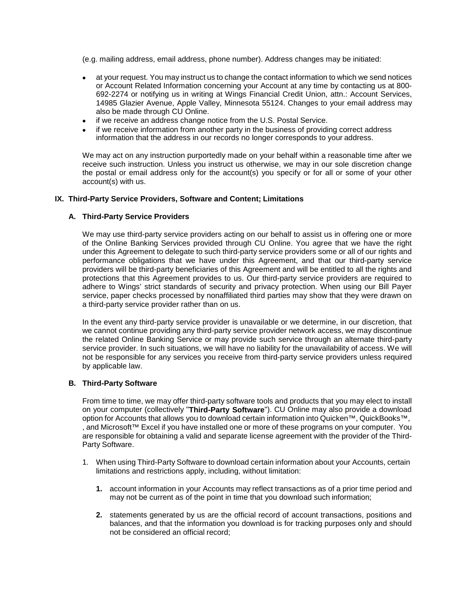(e.g. mailing address, email address, phone number). Address changes may be initiated:

- at your request. You may instruct us to change the contact information to which we send notices or Account Related Information concerning your Account at any time by contacting us at 800- 692-2274 or notifying us in writing at Wings Financial Credit Union, attn.: Account Services, 14985 Glazier Avenue, Apple Valley, Minnesota 55124. Changes to your email address may also be made through CU Online.
- if we receive an address change notice from the U.S. Postal Service.
- if we receive information from another party in the business of providing correct address information that the address in our records no longer corresponds to your address.

We may act on any instruction purportedly made on your behalf within a reasonable time after we receive such instruction. Unless you instruct us otherwise, we may in our sole discretion change the postal or email address only for the account(s) you specify or for all or some of your other account(s) with us.

## **IX. Third-Party Service Providers, Software and Content; Limitations**

#### **A. Third-Party Service Providers**

We may use third-party service providers acting on our behalf to assist us in offering one or more of the Online Banking Services provided through CU Online. You agree that we have the right under this Agreement to delegate to such third-party service providers some or all of our rights and performance obligations that we have under this Agreement, and that our third-party service providers will be third-party beneficiaries of this Agreement and will be entitled to all the rights and protections that this Agreement provides to us. Our third-party service providers are required to adhere to Wings' strict standards of security and privacy protection. When using our Bill Payer service, paper checks processed by nonaffiliated third parties may show that they were drawn on a third-party service provider rather than on us.

In the event any third-party service provider is unavailable or we determine, in our discretion, that we cannot continue providing any third-party service provider network access, we may discontinue the related Online Banking Service or may provide such service through an alternate third-party service provider. In such situations, we will have no liability for the unavailability of access. We will not be responsible for any services you receive from third-party service providers unless required by applicable law.

## **B. Third-Party Software**

From time to time, we may offer third-party software tools and products that you may elect to install on your computer (collectively "**Third-Party Software**"). CU Online may also provide a download option for Accounts that allows you to download certain information into Quicken™, QuickBooks™, , and Microsoft™ Excel if you have installed one or more of these programs on your computer. You are responsible for obtaining a valid and separate license agreement with the provider of the Third-Party Software.

- 1. When using Third-Party Software to download certain information about your Accounts, certain limitations and restrictions apply, including, without limitation:
	- **1.** account information in your Accounts may reflect transactions as of a prior time period and may not be current as of the point in time that you download such information;
	- **2.** statements generated by us are the official record of account transactions, positions and balances, and that the information you download is for tracking purposes only and should not be considered an official record;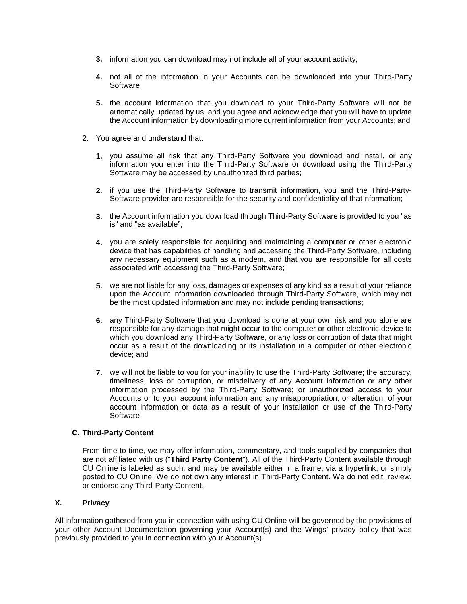- **3.** information you can download may not include all of your account activity;
- **4.** not all of the information in your Accounts can be downloaded into your Third-Party Software;
- **5.** the account information that you download to your Third-Party Software will not be automatically updated by us, and you agree and acknowledge that you will have to update the Account information by downloading more current information from your Accounts; and
- 2. You agree and understand that:
	- **1.** you assume all risk that any Third-Party Software you download and install, or any information you enter into the Third-Party Software or download using the Third-Party Software may be accessed by unauthorized third parties;
	- **2.** if you use the Third-Party Software to transmit information, you and the Third-Party-Software provider are responsible for the security and confidentiality of thatinformation;
	- **3.** the Account information you download through Third-Party Software is provided to you "as is" and "as available";
	- **4.** you are solely responsible for acquiring and maintaining a computer or other electronic device that has capabilities of handling and accessing the Third-Party Software, including any necessary equipment such as a modem, and that you are responsible for all costs associated with accessing the Third-Party Software;
	- **5.** we are not liable for any loss, damages or expenses of any kind as a result of your reliance upon the Account information downloaded through Third-Party Software, which may not be the most updated information and may not include pending transactions;
	- **6.** any Third-Party Software that you download is done at your own risk and you alone are responsible for any damage that might occur to the computer or other electronic device to which you download any Third-Party Software, or any loss or corruption of data that might occur as a result of the downloading or its installation in a computer or other electronic device; and
	- **7.** we will not be liable to you for your inability to use the Third-Party Software; the accuracy, timeliness, loss or corruption, or misdelivery of any Account information or any other information processed by the Third-Party Software; or unauthorized access to your Accounts or to your account information and any misappropriation, or alteration, of your account information or data as a result of your installation or use of the Third-Party Software.

## **C. Third-Party Content**

From time to time, we may offer information, commentary, and tools supplied by companies that are not affiliated with us ("**Third Party Content**"). All of the Third-Party Content available through CU Online is labeled as such, and may be available either in a frame, via a hyperlink, or simply posted to CU Online. We do not own any interest in Third-Party Content. We do not edit, review, or endorse any Third-Party Content.

## **X. Privacy**

All information gathered from you in connection with using CU Online will be governed by the provisions of your other Account Documentation governing your Account(s) and the Wings' privacy policy that was previously provided to you in connection with your Account(s).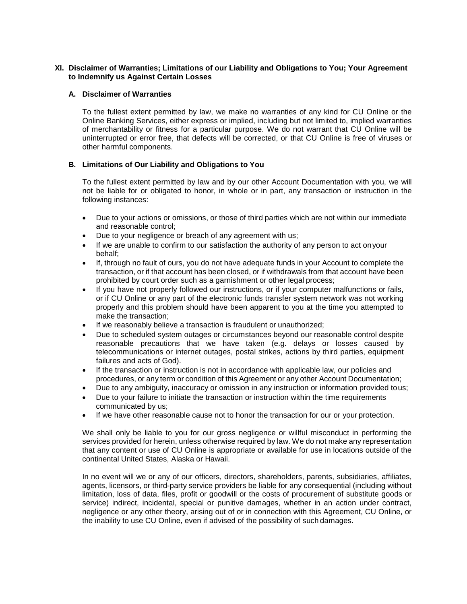## **XI. Disclaimer of Warranties; Limitations of our Liability and Obligations to You; Your Agreement to Indemnify us Against Certain Losses**

## **A. Disclaimer of Warranties**

To the fullest extent permitted by law, we make no warranties of any kind for CU Online or the Online Banking Services, either express or implied, including but not limited to, implied warranties of merchantability or fitness for a particular purpose. We do not warrant that CU Online will be uninterrupted or error free, that defects will be corrected, or that CU Online is free of viruses or other harmful components.

## **B. Limitations of Our Liability and Obligations to You**

To the fullest extent permitted by law and by our other Account Documentation with you, we will not be liable for or obligated to honor, in whole or in part, any transaction or instruction in the following instances:

- Due to your actions or omissions, or those of third parties which are not within our immediate and reasonable control;
- Due to your negligence or breach of any agreement with us;
- If we are unable to confirm to our satisfaction the authority of any person to act onyour behalf;
- If, through no fault of ours, you do not have adequate funds in your Account to complete the transaction, or if that account has been closed, or if withdrawals from that account have been prohibited by court order such as a garnishment or other legal process;
- If you have not properly followed our instructions, or if your computer malfunctions or fails, or if CU Online or any part of the electronic funds transfer system network was not working properly and this problem should have been apparent to you at the time you attempted to make the transaction;
- If we reasonably believe a transaction is fraudulent or unauthorized;
- Due to scheduled system outages or circumstances beyond our reasonable control despite reasonable precautions that we have taken (e.g. delays or losses caused by telecommunications or internet outages, postal strikes, actions by third parties, equipment failures and acts of God).
- If the transaction or instruction is not in accordance with applicable law, our policies and procedures, or any term or condition of this Agreement or any other Account Documentation;
- Due to any ambiguity, inaccuracy or omission in any instruction or information provided tous;
- Due to your failure to initiate the transaction or instruction within the time requirements communicated by us;
- If we have other reasonable cause not to honor the transaction for our or your protection.

We shall only be liable to you for our gross negligence or willful misconduct in performing the services provided for herein, unless otherwise required by law. We do not make any representation that any content or use of CU Online is appropriate or available for use in locations outside of the continental United States, Alaska or Hawaii.

In no event will we or any of our officers, directors, shareholders, parents, subsidiaries, affiliates, agents, licensors, or third-party service providers be liable for any consequential (including without limitation, loss of data, files, profit or goodwill or the costs of procurement of substitute goods or service) indirect, incidental, special or punitive damages, whether in an action under contract, negligence or any other theory, arising out of or in connection with this Agreement, CU Online, or the inability to use CU Online, even if advised of the possibility of such damages.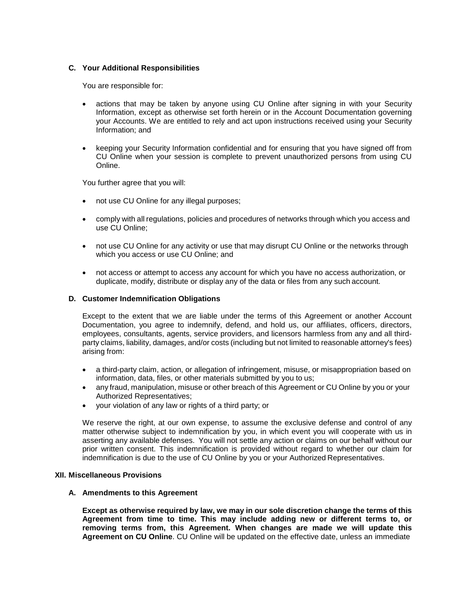## **C. Your Additional Responsibilities**

You are responsible for:

- actions that may be taken by anyone using CU Online after signing in with your Security Information, except as otherwise set forth herein or in the Account Documentation governing your Accounts. We are entitled to rely and act upon instructions received using your Security Information; and
- keeping your Security Information confidential and for ensuring that you have signed off from CU Online when your session is complete to prevent unauthorized persons from using CU Online.

You further agree that you will:

- not use CU Online for any illegal purposes;
- comply with all regulations, policies and procedures of networks through which you access and use CU Online;
- not use CU Online for any activity or use that may disrupt CU Online or the networks through which you access or use CU Online; and
- not access or attempt to access any account for which you have no access authorization, or duplicate, modify, distribute or display any of the data or files from any such account.

#### **D. Customer Indemnification Obligations**

Except to the extent that we are liable under the terms of this Agreement or another Account Documentation, you agree to indemnify, defend, and hold us, our affiliates, officers, directors, employees, consultants, agents, service providers, and licensors harmless from any and all thirdparty claims, liability, damages, and/or costs (including but not limited to reasonable attorney's fees) arising from:

- a third-party claim, action, or allegation of infringement, misuse, or misappropriation based on information, data, files, or other materials submitted by you to us;
- any fraud, manipulation, misuse or other breach of this Agreement or CU Online by you or your Authorized Representatives;
- your violation of any law or rights of a third party; or

We reserve the right, at our own expense, to assume the exclusive defense and control of any matter otherwise subject to indemnification by you, in which event you will cooperate with us in asserting any available defenses. You will not settle any action or claims on our behalf without our prior written consent. This indemnification is provided without regard to whether our claim for indemnification is due to the use of CU Online by you or your Authorized Representatives.

#### **XII. Miscellaneous Provisions**

#### **A. Amendments to this Agreement**

**Except as otherwise required by law, we may in our sole discretion change the terms of this Agreement from time to time. This may include adding new or different terms to, or removing terms from, this Agreement. When changes are made we will update this Agreement on CU Online**. CU Online will be updated on the effective date, unless an immediate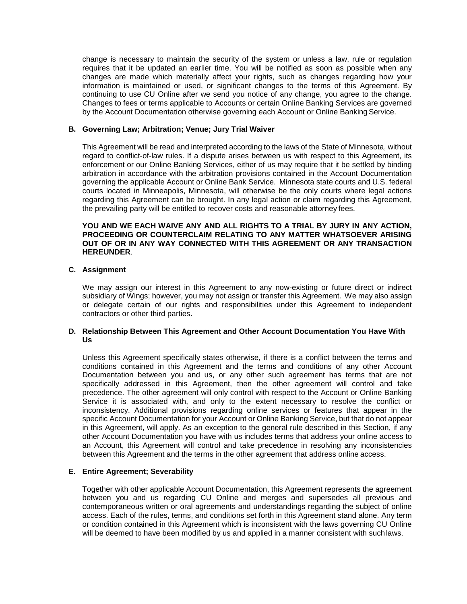change is necessary to maintain the security of the system or unless a law, rule or regulation requires that it be updated an earlier time. You will be notified as soon as possible when any changes are made which materially affect your rights, such as changes regarding how your information is maintained or used, or significant changes to the terms of this Agreement. By continuing to use CU Online after we send you notice of any change, you agree to the change. Changes to fees or terms applicable to Accounts or certain Online Banking Services are governed by the Account Documentation otherwise governing each Account or Online Banking Service.

## **B. Governing Law; Arbitration; Venue; Jury Trial Waiver**

This Agreement will be read and interpreted according to the laws of the State of Minnesota, without regard to conflict-of-law rules. If a dispute arises between us with respect to this Agreement, its enforcement or our Online Banking Services, either of us may require that it be settled by binding arbitration in accordance with the arbitration provisions contained in the Account Documentation governing the applicable Account or Online Bank Service. Minnesota state courts and U.S. federal courts located in Minneapolis, Minnesota, will otherwise be the only courts where legal actions regarding this Agreement can be brought. In any legal action or claim regarding this Agreement, the prevailing party will be entitled to recover costs and reasonable attorney fees.

### **YOU AND WE EACH WAIVE ANY AND ALL RIGHTS TO A TRIAL BY JURY IN ANY ACTION, PROCEEDING OR COUNTERCLAIM RELATING TO ANY MATTER WHATSOEVER ARISING OUT OF OR IN ANY WAY CONNECTED WITH THIS AGREEMENT OR ANY TRANSACTION HEREUNDER**.

## **C. Assignment**

We may assign our interest in this Agreement to any now-existing or future direct or indirect subsidiary of Wings; however, you may not assign or transfer this Agreement. We may also assign or delegate certain of our rights and responsibilities under this Agreement to independent contractors or other third parties.

## **D. Relationship Between This Agreement and Other Account Documentation You Have With Us**

Unless this Agreement specifically states otherwise, if there is a conflict between the terms and conditions contained in this Agreement and the terms and conditions of any other Account Documentation between you and us, or any other such agreement has terms that are not specifically addressed in this Agreement, then the other agreement will control and take precedence. The other agreement will only control with respect to the Account or Online Banking Service it is associated with, and only to the extent necessary to resolve the conflict or inconsistency. Additional provisions regarding online services or features that appear in the specific Account Documentation for your Account or Online Banking Service, but that do not appear in this Agreement, will apply. As an exception to the general rule described in this Section, if any other Account Documentation you have with us includes terms that address your online access to an Account, this Agreement will control and take precedence in resolving any inconsistencies between this Agreement and the terms in the other agreement that address online access.

## **E. Entire Agreement; Severability**

Together with other applicable Account Documentation, this Agreement represents the agreement between you and us regarding CU Online and merges and supersedes all previous and contemporaneous written or oral agreements and understandings regarding the subject of online access. Each of the rules, terms, and conditions set forth in this Agreement stand alone. Any term or condition contained in this Agreement which is inconsistent with the laws governing CU Online will be deemed to have been modified by us and applied in a manner consistent with such laws.